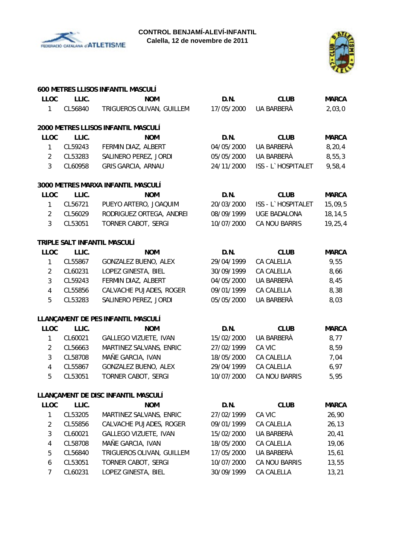



| <b>LLOC</b>    | LLIC.   | 600 METRES LLISOS INFANTIL MASCULÍ<br><b>NOM</b> | D.N.       | <b>CLUB</b>         | <b>MARCA</b> |
|----------------|---------|--------------------------------------------------|------------|---------------------|--------------|
|                |         |                                                  |            |                     |              |
| $\mathbf{1}$   | CL56840 | TRIGUEROS OLIVAN, GUILLEM                        | 17/05/2000 | UA BARBERÀ          | 2,03,0       |
|                |         | 2000 METRES LLISOS INFANTIL MASCULÍ              |            |                     |              |
| <b>LLOC</b>    | LLIC.   | <b>NOM</b>                                       | D.N.       | <b>CLUB</b>         | <b>MARCA</b> |
| $\mathbf{1}$   | CL59243 | FERMIN DIAZ, ALBERT                              | 04/05/2000 | UA BARBERÀ          | 8, 20, 4     |
| $\overline{2}$ | CL53283 | SALINERO PEREZ, JORDI                            | 05/05/2000 | UA BARBERÀ          | 8,55,3       |
| $\mathbf{3}$   | CL60958 | <b>GRIS GARCIA, ARNAU</b>                        | 24/11/2000 | ISS - L`HOSPITALET  | 9,58,4       |
|                |         | 3000 METRES MARXA INFANTIL MASCULÍ               |            |                     |              |
| <b>LLOC</b>    | LLIC.   | <b>NOM</b>                                       | D.N.       | <b>CLUB</b>         | <b>MARCA</b> |
| $\mathbf{1}$   | CL56721 | PUEYO ARTERO, JOAQUIM                            | 20/03/2000 | ISS - L`HOSPITALET  | 15,09,5      |
| $\overline{2}$ | CL56029 | RODRIGUEZ ORTEGA, ANDREI                         | 08/09/1999 | <b>UGE BADALONA</b> | 18,14,5      |
| 3              | CL53051 | TORNER CABOT, SERGI                              | 10/07/2000 | CA NOU BARRIS       | 19, 25, 4    |
|                |         | TRIPLE SALT INFANTIL MASCULÍ                     |            |                     |              |
| <b>LLOC</b>    | LLIC.   | <b>NOM</b>                                       | D.N.       | <b>CLUB</b>         | <b>MARCA</b> |
| $\mathbf{1}$   | CL55867 | GONZALEZ BUENO, ALEX                             | 29/04/1999 | CA CALELLA          | 9,55         |
| $\overline{2}$ | CL60231 | LOPEZ GINESTA, BIEL                              | 30/09/1999 | CA CALELLA          | 8,66         |
| 3              | CL59243 | FERMIN DIAZ, ALBERT                              | 04/05/2000 | UA BARBERÀ          | 8,45         |
| $\overline{4}$ | CL55856 | CALVACHE PUJADES, ROGER                          | 09/01/1999 | CA CALELLA          | 8,38         |
| 5              | CL53283 | SALINERO PEREZ, JORDI                            | 05/05/2000 | UA BARBERÀ          | 8,03         |
|                |         | LLANÇAMENT DE PES INFANTIL MASCULÍ               |            |                     |              |
| <b>LLOC</b>    | LLIC.   | <b>NOM</b>                                       | D.N.       | <b>CLUB</b>         | <b>MARCA</b> |
| $\mathbf{1}$   | CL60021 | <b>GALLEGO VIZUETE, IVAN</b>                     | 15/02/2000 | UA BARBERÀ          | 8,77         |
| $\overline{2}$ | CL56663 | MARTINEZ SALVANS, ENRIC                          | 27/02/1999 | CA VIC              | 8,59         |
| 3              | CL58708 | MAÑE GARCIA, IVAN                                | 18/05/2000 | CA CALELLA          | 7,04         |
| $\overline{4}$ | CL55867 | GONZALEZ BUENO, ALEX                             | 29/04/1999 | CA CALELLA          | 6,97         |
| 5              | CL53051 | <b>TORNER CABOT, SERGI</b>                       | 10/07/2000 | CA NOU BARRIS       | 5,95         |
|                |         | LLANÇAMENT DE DISC INFANTIL MASCULÍ              |            |                     |              |
| <b>LLOC</b>    | LLIC.   | <b>NOM</b>                                       | D.N.       | <b>CLUB</b>         | <b>MARCA</b> |
| 1              | CL53205 | MARTINEZ SALVANS, ENRIC                          | 27/02/1999 | CA VIC              | 26,90        |
| $\overline{2}$ | CL55856 | CALVACHE PUJADES, ROGER                          | 09/01/1999 | CA CALELLA          | 26, 13       |
| 3              | CL60021 | GALLEGO VIZUETE, IVAN                            | 15/02/2000 | UA BARBERÀ          | 20,41        |
| 4              | CL58708 | MAÑE GARCIA, IVAN                                | 18/05/2000 | CA CALELLA          | 19,06        |
| 5              | CL56840 | TRIGUEROS OLIVAN, GUILLEM                        | 17/05/2000 | UA BARBERÀ          | 15,61        |
| 6              | CL53051 | TORNER CABOT, SERGI                              | 10/07/2000 | CA NOU BARRIS       | 13,55        |
| $\overline{7}$ | CL60231 | LOPEZ GINESTA, BIEL                              | 30/09/1999 | CA CALELLA          | 13,21        |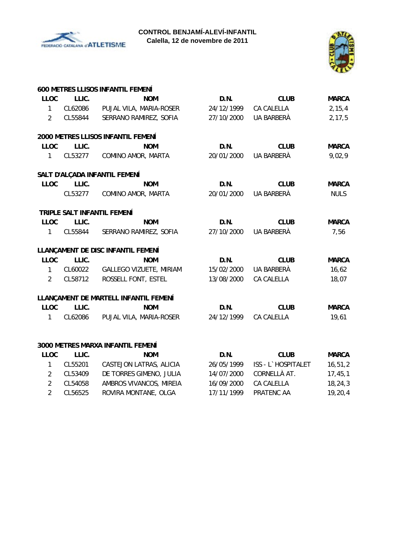



|                |         | <b>600 METRES LLISOS INFANTIL FEMENÍ</b> |                       |                       |              |
|----------------|---------|------------------------------------------|-----------------------|-----------------------|--------------|
| <b>LLOC</b>    | LLIC.   | <b>NOM</b>                               | D.N.                  | <b>CLUB</b>           | <b>MARCA</b> |
| $\mathbf{1}$   |         | CL62086 PUJAL VILA, MARIA-ROSER          | 24/12/1999            | CA CALELLA            | 2, 15, 4     |
| $\overline{2}$ |         | CL55844 SERRANO RAMIREZ, SOFIA           | 27/10/2000            | UA BARBERÀ            | 2, 17, 5     |
|                |         | 2000 METRES LLISOS INFANTIL FEMENÍ       |                       |                       |              |
| <b>LLOC</b>    | LLIC.   | <b>NOM</b>                               | D.N.                  | <b>CLUB</b>           | <b>MARCA</b> |
| $1 \quad$      | CL53277 | COMINO AMOR, MARTA                       | 20/01/2000            | UA BARBERÀ            | 9,02,9       |
|                |         | SALT D'ALÇADA INFANTIL FEMENÍ            |                       |                       |              |
| <b>LLOC</b>    | LLIC.   | <b>NOM</b>                               | D.N.                  | <b>CLUB</b>           | <b>MARCA</b> |
|                |         | CL53277 COMINO AMOR, MARTA               | 20/01/2000            | UA BARBERÀ            | <b>NULS</b>  |
|                |         | TRIPLE SALT INFANTIL FEMENÍ              |                       |                       |              |
| <b>LLOC</b>    | LLIC.   | <b>NOM</b>                               | D.N.                  | <b>CLUB</b>           | <b>MARCA</b> |
| $\mathbf{1}$   |         | CL55844 SERRANO RAMIREZ, SOFIA           | 27/10/2000            | UA BARBERÀ            | 7,56         |
|                |         | LLANÇAMENT DE DISC INFANTIL FEMENÍ       |                       |                       |              |
| <b>LLOC</b>    | LLIC.   | <b>NOM</b>                               | D.N.                  | <b>CLUB</b>           | <b>MARCA</b> |
| $\mathbf{1}$   |         | CL60022 GALLEGO VIZUETE, MIRIAM          |                       | 15/02/2000 UA BARBERÀ | 16,62        |
| $\overline{2}$ | CL58712 | ROSSELL FONT, ESTEL                      | 13/08/2000            | CA CALELLA            | 18,07        |
|                |         | LLANÇAMENT DE MARTELL INFANTIL FEMENÍ    |                       |                       |              |
| <b>LLOC</b>    | LLIC.   | <b>NOM</b>                               | D.N.                  | <b>CLUB</b>           | <b>MARCA</b> |
| $\mathbf{1}$   |         | CL62086 PUJAL VILA, MARIA-ROSER          | 24/12/1999 CA CALELLA |                       | 19,61        |
|                |         |                                          |                       |                       |              |
|                |         | 3000 METRES MARXA INFANTIL FEMENÍ        |                       |                       |              |
| <b>LLOC</b>    | LLIC.   | <b>NOM</b>                               | D.N.                  | <b>CLUB</b>           | <b>MARCA</b> |
| $1 \quad$      | CL55201 | CASTEJON LATRAS, ALICIA                  |                       |                       | 16, 51, 2    |
|                |         |                                          |                       |                       |              |

| CL55201 | CASTEJON LATRAS, ALICIA | 26/05/1999 | ISS - L`HOSPITALET       | 16,51,2 |
|---------|-------------------------|------------|--------------------------|---------|
| CL53409 | DE TORRES GIMENO, JULIA |            | $14/07/2000$ CORNELLA AT | 17,45,1 |
| CL54058 | AMBROS VIVANCOS, MIREIA | 16/09/2000 | CA CALELLA               | 18,24,3 |
| CL56525 | ROVIRA MONTANE, OLGA    |            | 17/11/1999 PRATFNC AA    | 19,20,4 |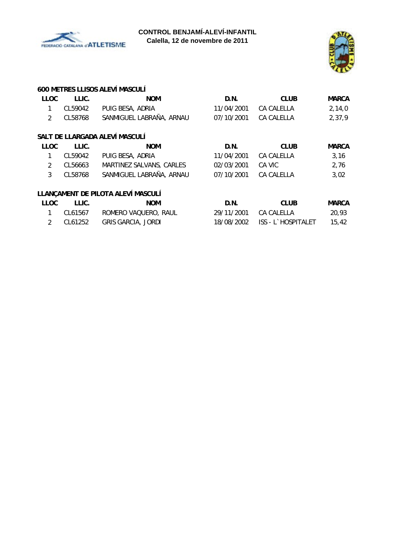



### **600 METRES LLISOS ALEVÍ MASCULÍ**

| <b>LLOC</b>    | LLIC.   | <b>NOM</b>                         | D.N.       | <b>CLUB</b>        | <b>MARCA</b> |
|----------------|---------|------------------------------------|------------|--------------------|--------------|
| 1              | CL59042 | PUIG BESA, ADRIA                   | 11/04/2001 | CA CALELLA         | 2,14,0       |
| 2              | CL58768 | SANMIGUEL LABRAÑA, ARNAU           | 07/10/2001 | CA CALELLA         | 2,37,9       |
|                |         | SALT DE LLARGADA ALEVÍ MASCULÍ     |            |                    |              |
| <b>LLOC</b>    | LLIC.   | <b>NOM</b>                         | D.N.       | <b>CLUB</b>        | <b>MARCA</b> |
| 1              | CL59042 | PUIG BESA, ADRIA                   | 11/04/2001 | CA CALELLA         | 3,16         |
| $\overline{2}$ | CL56663 | MARTINEZ SALVANS, CARLES           | 02/03/2001 | CA VIC             | 2,76         |
| 3              | CL58768 | SANMIGUEL LABRAÑA, ARNAU           | 07/10/2001 | <b>CA CALELLA</b>  | 3,02         |
|                |         | LLANÇAMENT DE PILOTA ALEVÍ MASCULÍ |            |                    |              |
| <b>LLOC</b>    | LLIC.   | <b>NOM</b>                         | D.N.       | <b>CLUB</b>        | <b>MARCA</b> |
| 1              | CL61567 | ROMERO VAQUERO, RAUL               | 29/11/2001 | CA CALELLA         | 20,93        |
| $\overline{2}$ | CL61252 | <b>GRIS GARCIA, JORDI</b>          | 18/08/2002 | ISS - L`HOSPITALET | 15,42        |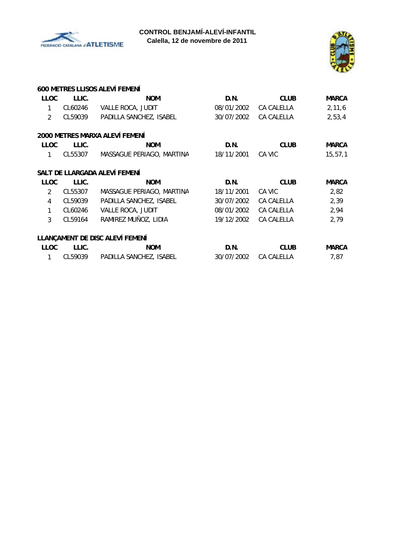



|                |         | 600 METRES LLISOS ALEVÍ FEMENÍ  |            |             |              |
|----------------|---------|---------------------------------|------------|-------------|--------------|
| <b>LLOC</b>    | LLIC.   | <b>NOM</b>                      | D.N.       | <b>CLUB</b> | <b>MARCA</b> |
| 1              | CL60246 | VALLE ROCA, JUDIT               | 08/01/2002 | CA CALELLA  | 2,11,6       |
| $\overline{2}$ | CL59039 | PADILLA SANCHEZ, ISABEL         | 30/07/2002 | CA CALELLA  | 2,53,4       |
|                |         | 2000 METRES MARXA ALEVÍ FEMENÍ  |            |             |              |
| <b>LLOC</b>    | LLIC.   | <b>NOM</b>                      | D.N.       | <b>CLUB</b> | <b>MARCA</b> |
| 1              | CL55307 | MASSAGUE PERIAGO, MARTINA       | 18/11/2001 | CA VIC      | 15, 57, 1    |
|                |         | SALT DE LLARGADA ALEVÍ FEMENÍ   |            |             |              |
| <b>LLOC</b>    | LLIC.   | <b>NOM</b>                      | D.N.       | <b>CLUB</b> | <b>MARCA</b> |
| $\mathfrak{D}$ | CL55307 | MASSAGUE PERIAGO, MARTINA       | 18/11/2001 | CA VIC      | 2,82         |
| 4              | CL59039 | PADILLA SANCHEZ, ISABEL         | 30/07/2002 | CA CALELLA  | 2,39         |
| 1              | CL60246 | VALLE ROCA, JUDIT               | 08/01/2002 | CA CALELLA  | 2,94         |
| 3              | CL59164 | RAMIREZ MUÑOZ, LIDIA            | 19/12/2002 | CA CALELLA  | 2,79         |
|                |         | LLANÇAMENT DE DISC ALEVÍ FEMENÍ |            |             |              |
| <b>LLOC</b>    | LLIC.   | <b>NOM</b>                      | D.N.       | <b>CLUB</b> | <b>MARCA</b> |
| 1              | CL59039 | PADILLA SANCHEZ, ISABEL         | 30/07/2002 | CA CALELLA  | 7,87         |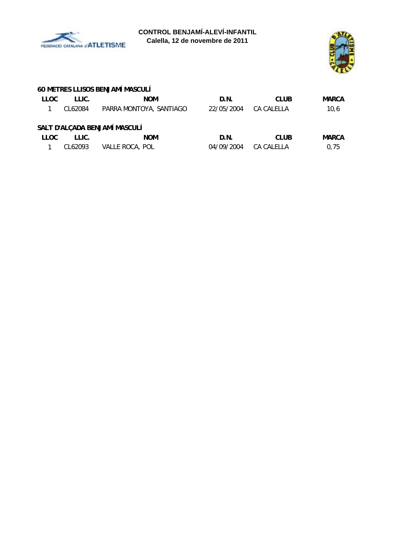



# **60 METRES LLISOS BENJAMÍ MASCULÍ**

| <b>LLOC</b> | LLIC.                         | <b>NOM</b>              | D.N.       | <b>CLUB</b> | <b>MARCA</b> |  |  |  |
|-------------|-------------------------------|-------------------------|------------|-------------|--------------|--|--|--|
|             | CL62084                       | PARRA MONTOYA, SANTIAGO | 22/05/2004 | CA CALELLA  | 10,6         |  |  |  |
|             | SALT D'ALÇADA BENJAMÍ MASCULÍ |                         |            |             |              |  |  |  |
| <b>LLOC</b> | LLIC.                         | <b>NOM</b>              | D.N.       | <b>CLUB</b> | MARCA        |  |  |  |
|             | CL62093                       | VALLE ROCA, POL         | 04/09/2004 | CA CALELLA  | 0,75         |  |  |  |
|             |                               |                         |            |             |              |  |  |  |